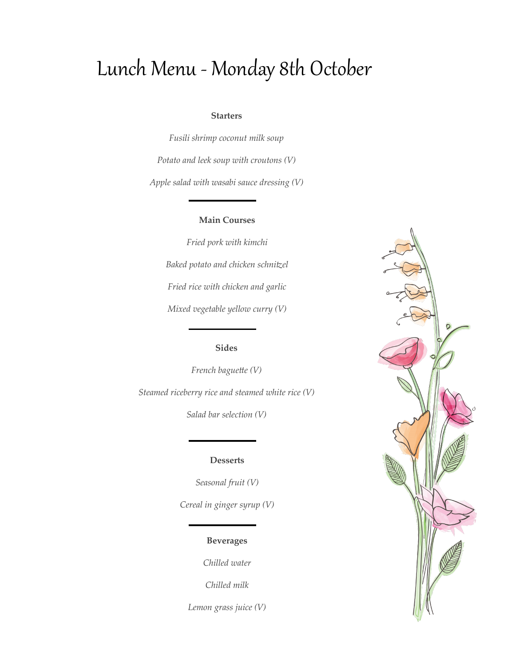# Lunch Menu - Monday 8th October

#### **Starters**

*Fusili shrimp coconut milk soup Potato and leek soup with croutons (V) Apple salad with wasabi sauce dressing (V)*

## **Main Courses**

*Fried pork with kimchi Baked potato and chicken schnitzel Fried rice with chicken and garlic Mixed vegetable yellow curry (V)*

## **Sides**

*French baguette (V) Steamed riceberry rice and steamed white rice (V) Salad bar selection (V)*

### **Desserts**

*Seasonal fruit (V) Cereal in ginger syrup (V)*

## **Beverages**

*Chilled water*

*Chilled milk*

*Lemon grass juice (V)*

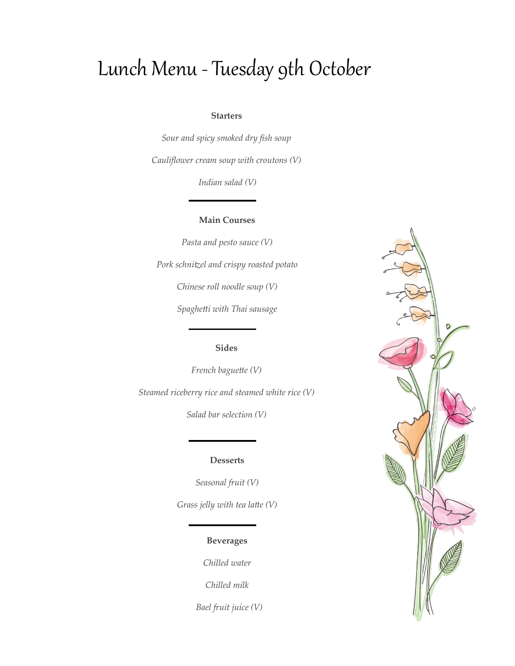# Lunch Menu - Tuesday 9th October

### **Starters**

*Sour and spicy smoked dry fish soup Cauliflower cream soup with croutons (V)*

*Indian salad (V)*

### **Main Courses**

*Pasta and pesto sauce (V) Pork schnitzel and crispy roasted potato Chinese roll noodle soup (V) Spaghetti with Thai sausage*

## **Sides**

*French baguette (V) Steamed riceberry rice and steamed white rice (V)*

*Salad bar selection (V)*

### **Desserts**

*Seasonal fruit (V) Grass jelly with tea latte (V)* 

## **Beverages**

*Chilled water*

*Chilled milk*

 *Bael fruit juice (V)*

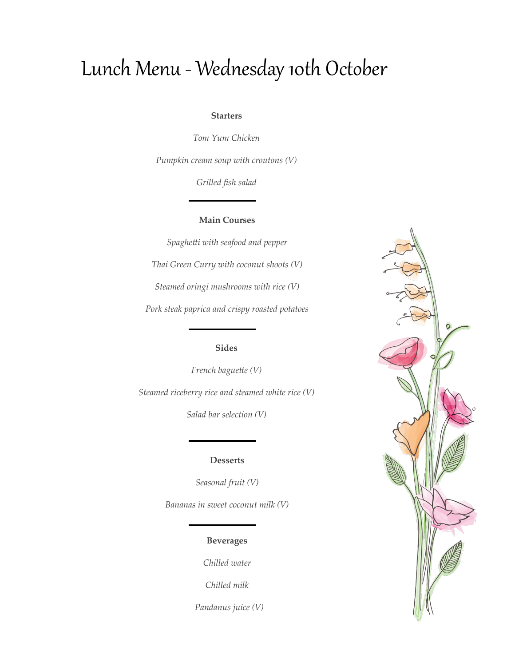# Lunch Menu - Wednesday 10th October

## **Starters**

*Tom Yum Chicken Pumpkin cream soup with croutons (V)*

*Grilled fish salad*

## **Main Courses**

*Spaghetti with seafood and pepper Thai Green Curry with coconut shoots (V) Steamed oringi mushrooms with rice (V) Pork steak paprica and crispy roasted potatoes*

## **Sides**

*French baguette (V) Steamed riceberry rice and steamed white rice (V)*

*Salad bar selection (V)*

### **Desserts**

*Seasonal fruit (V)*

*Bananas in sweet coconut milk (V)*

## **Beverages**

*Chilled water*

*Chilled milk*

 *Pandanus juice (V)*

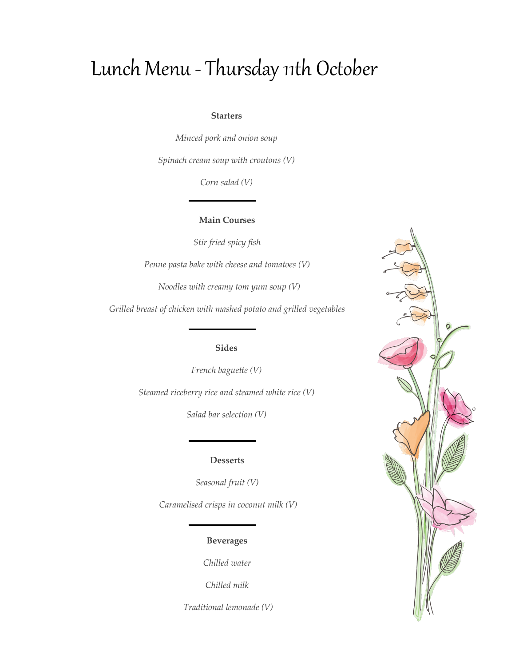# Lunch Menu - Thursday 11th October

### **Starters**

*Minced pork and onion soup*

*Spinach cream soup with croutons (V)*

*Corn salad (V)*

## **Main Courses**

*Stir fried spicy fish*

*Penne pasta bake with cheese and tomatoes (V)*

 *Noodles with creamy tom yum soup (V)*

*Grilled breast of chicken with mashed potato and grilled vegetables*

## **Sides**

*French baguette (V)*

*Steamed riceberry rice and steamed white rice (V)*

*Salad bar selection (V)*

## **Desserts**

*Seasonal fruit (V)*

*Caramelised crisps in coconut milk (V)*

## **Beverages**

*Chilled water*

*Chilled milk*

*Traditional lemonade (V)*

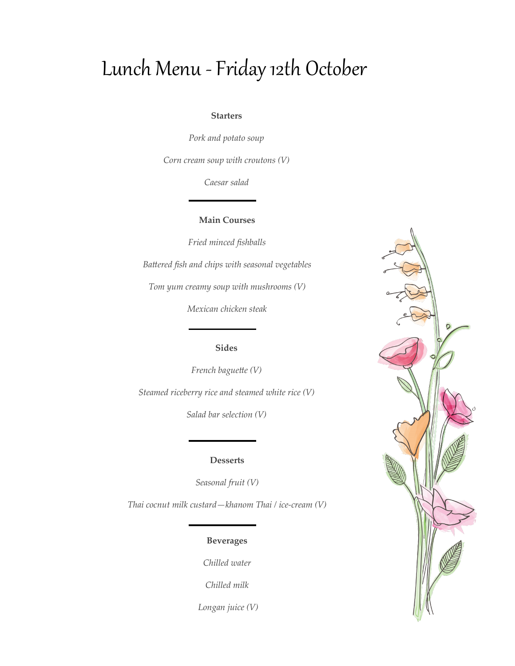# Lunch Menu -Friday 12th October

### **Starters**

*Pork and potato soup* 

*Corn cream soup with croutons (V)*

*Caesar salad*

## **Main Courses**

*Fried minced fishballs Battered fish and chips with seasonal vegetables*

*Tom yum creamy soup with mushrooms (V)*

*Mexican chicken steak*

## **Sides**

*French baguette (V) Steamed riceberry rice and steamed white rice (V)*

*Salad bar selection (V)*

### **Desserts**

*Seasonal fruit (V)*

*Thai cocnut milk custard—khanom Thai / ice-cream (V)*

## **Beverages**

*Chilled water*

*Chilled milk*

*Longan juice (V)*

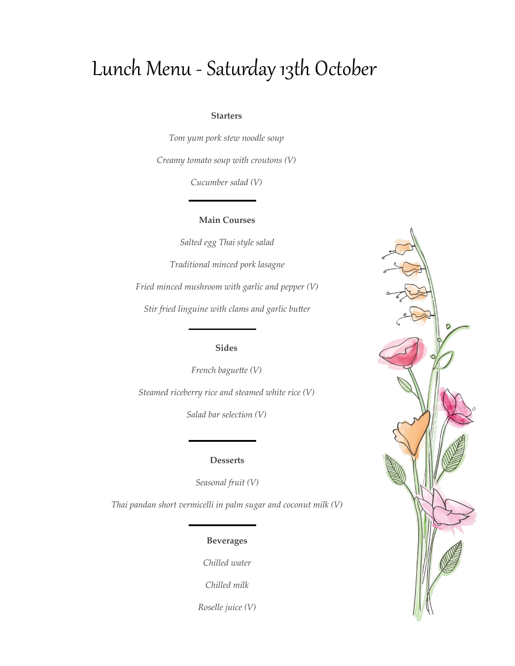# Lunch Menu - Saturday 13th October

### **Starters**

*Tom yum pork stew noodle soup Creamy tomato soup with croutons (V)*

*Cucumber salad (V)*

## **Main Courses**

*Salted egg Thai style salad Traditional minced pork lasagne Fried minced mushroom with garlic and pepper (V) Stir fried linguine with clams and garlic butter*

## **Sides**

*French baguette (V) Steamed riceberry rice and steamed white rice (V)*

*Salad bar selection (V)*

## **Desserts**

*Seasonal fruit (V)*

*Thai pandan short vermicelli in palm sugar and coconut milk (V)*

## **Beverages**

*Chilled water*

*Chilled milk*

*Roselle juice (V)*